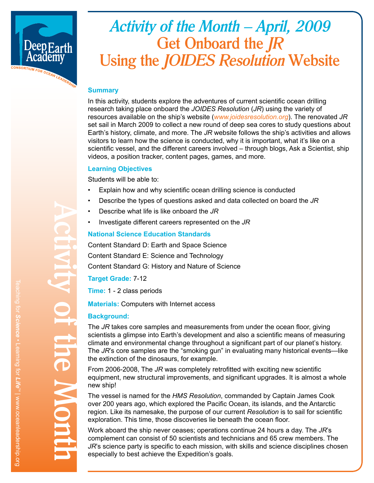

# *Activity of the Month – April, 2009* **Get Onboard the** *JR* **Using the** *JOIDES Resolution* **Website**

## **Summary**

In this activity, students explore the adventures of current scientific ocean drilling research taking place onboard the *JOIDES Resolution* (*JR*) using the variety of resources available on the ship's website (*www.joidesresolution.org*). The renovated *JR* set sail in March 2009 to collect a new round of deep sea cores to study questions about Earth's history, climate, and more. The *JR* website follows the ship's activities and allows visitors to learn how the science is conducted, why it is important, what it's like on a scientific vessel, and the different careers involved – through blogs, Ask a Scientist, ship videos, a position tracker, content pages, games, and more.

### **Learning Objectives**

Students will be able to:

- Explain how and why scientific ocean drilling science is conducted
- Describe the types of questions asked and data collected on board the *JR*
- Describe what life is like onboard the *JR*
- Investigate different careers represented on the *JR*

## **National Science Education Standards**

Content Standard D: Earth and Space Science Content Standard E: Science and Technology Content Standard G: History and Nature of Science

# **Target Grade:** 7-12

**Time:** 1 - 2 class periods

**Materials:** Computers with Internet access

# **Background:**

The *JR* takes core samples and measurements from under the ocean floor, giving scientists a glimpse into Earth's development and also a scientific means of measuring climate and environmental change throughout a significant part of our planet's history. The *JR*'s core samples are the "smoking gun" in evaluating many historical events—like the extinction of the dinosaurs, for example.

From 2006-2008, The *JR* was completely retrofitted with exciting new scientific equipment, new structural improvements, and significant upgrades. It is almost a whole new ship!

The vessel is named for the *HMS Resolution*, commanded by Captain James Cook over 200 years ago, which explored the Pacific Ocean, its islands, and the Antarctic region. Like its namesake, the purpose of our current *Resolution* is to sail for scientific exploration. This time, those discoveries lie beneath the ocean floor.

Work aboard the ship never ceases; operations continue 24 hours a day. The *JR*'s complement can consist of 50 scientists and technicians and 65 crew members. The *JR*'s science party is specific to each mission, with skills and science disciplines chosen especially to best achieve the Expedition's goals.

**Activity of the Month**

of tine Mon